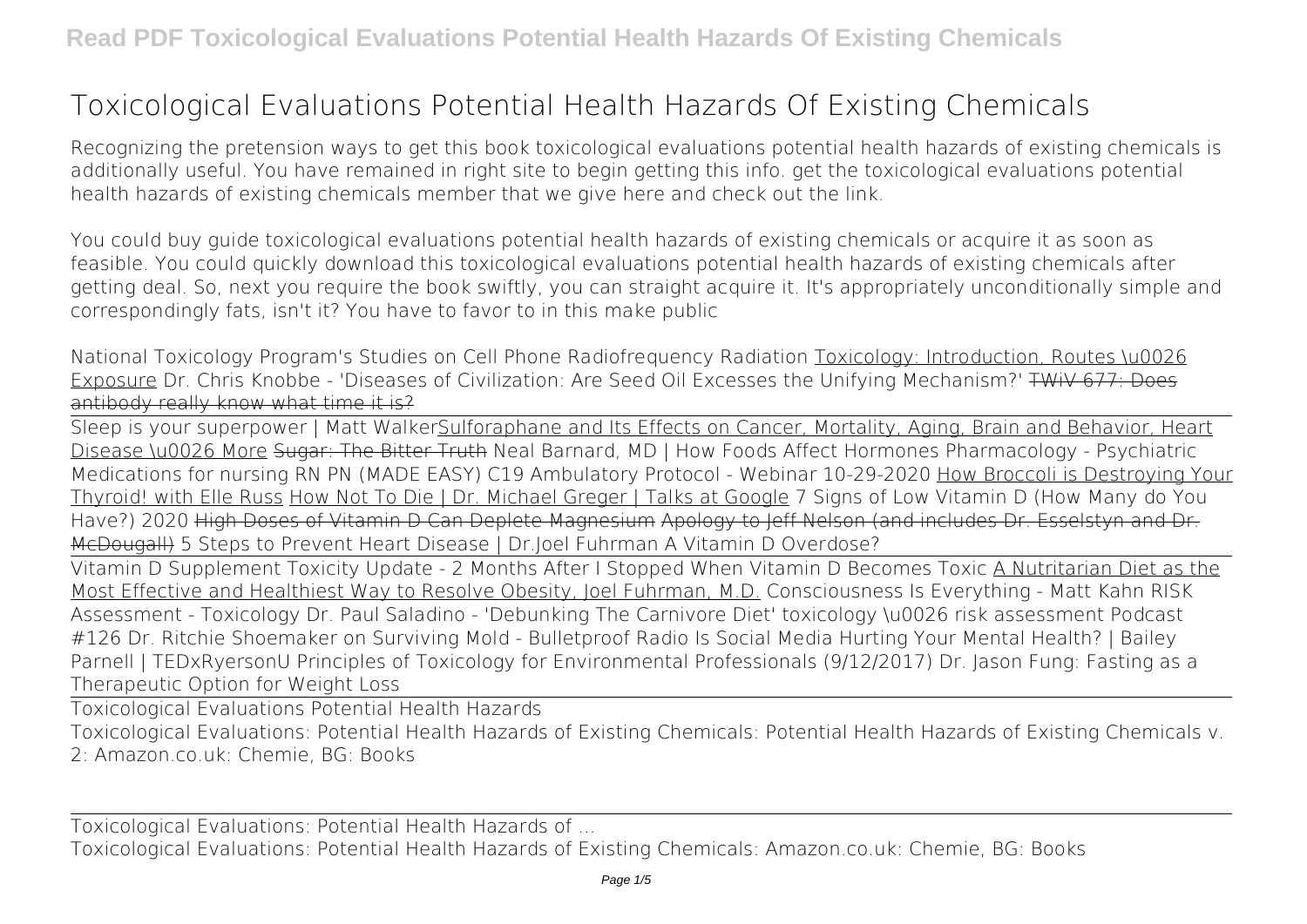## **Toxicological Evaluations Potential Health Hazards Of Existing Chemicals**

Recognizing the pretension ways to get this book **toxicological evaluations potential health hazards of existing chemicals** is additionally useful. You have remained in right site to begin getting this info. get the toxicological evaluations potential health hazards of existing chemicals member that we give here and check out the link.

You could buy guide toxicological evaluations potential health hazards of existing chemicals or acquire it as soon as feasible. You could quickly download this toxicological evaluations potential health hazards of existing chemicals after getting deal. So, next you require the book swiftly, you can straight acquire it. It's appropriately unconditionally simple and correspondingly fats, isn't it? You have to favor to in this make public

*National Toxicology Program's Studies on Cell Phone Radiofrequency Radiation Toxicology: Introduction, Routes \u0026* Exposure *Dr. Chris Knobbe - 'Diseases of Civilization: Are Seed Oil Excesses the Unifying Mechanism?'* TWiV 677: Does antibody really know what time it is?

Sleep is your superpower | Matt WalkerSulforaphane and Its Effects on Cancer, Mortality, Aging, Brain and Behavior, Heart Disease \u0026 More Sugar: The Bitter Truth Neal Barnard, MD | How Foods Affect Hormones **Pharmacology - Psychiatric Medications for nursing RN PN (MADE EASY)** *C19 Ambulatory Protocol - Webinar 10-29-2020* How Broccoli is Destroying Your Thyroid! with Elle Russ How Not To Die | Dr. Michael Greger | Talks at Google 7 Signs of Low Vitamin D (How Many do You Have?) 2020 High Doses of Vitamin D Can Deplete Magnesium Apology to Jeff Nelson (and includes Dr. Esselstyn and Dr. McDougall) **5 Steps to Prevent Heart Disease | Dr.Joel Fuhrman A Vitamin D Overdose?**

Vitamin D Supplement Toxicity Update - 2 Months After I Stopped When Vitamin D Becomes Toxic A Nutritarian Diet as the Most Effective and Healthiest Way to Resolve Obesity, Joel Fuhrman, M.D. *Consciousness Is Everything - Matt Kahn RISK Assessment - Toxicology Dr. Paul Saladino - 'Debunking The Carnivore Diet'* toxicology \u0026 risk assessment Podcast #126 Dr. Ritchie Shoemaker on Surviving Mold - Bulletproof Radio *Is Social Media Hurting Your Mental Health? | Bailey Parnell | TEDxRyersonU Principles of Toxicology for Environmental Professionals (9/12/2017)* Dr. Jason Fung: Fasting as a Therapeutic Option for Weight Loss

Toxicological Evaluations Potential Health Hazards

Toxicological Evaluations: Potential Health Hazards of Existing Chemicals: Potential Health Hazards of Existing Chemicals v. 2: Amazon.co.uk: Chemie, BG: Books

Toxicological Evaluations: Potential Health Hazards of ...

Toxicological Evaluations: Potential Health Hazards of Existing Chemicals: Amazon.co.uk: Chemie, BG: Books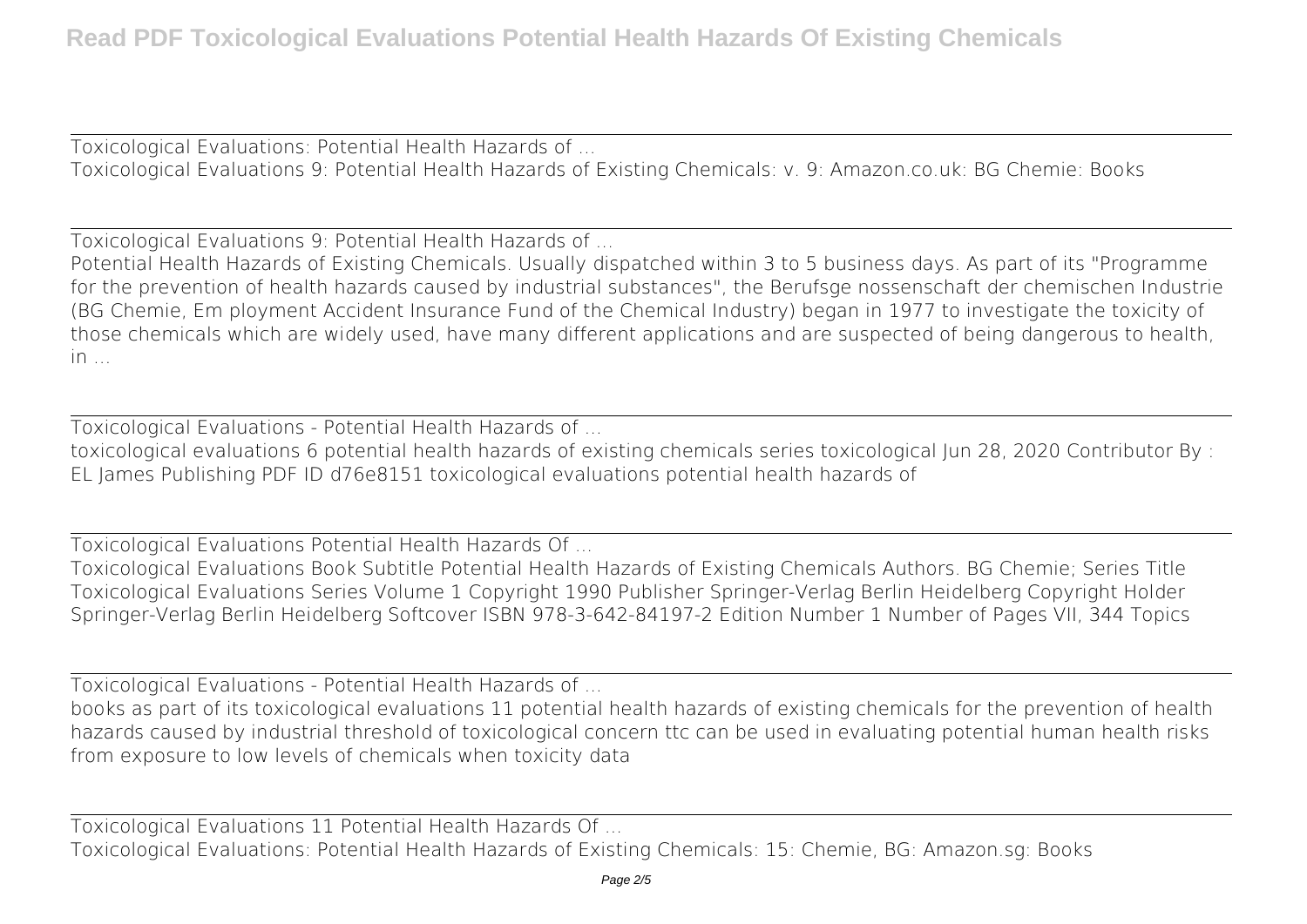Toxicological Evaluations: Potential Health Hazards of ... Toxicological Evaluations 9: Potential Health Hazards of Existing Chemicals: v. 9: Amazon.co.uk: BG Chemie: Books

Toxicological Evaluations 9: Potential Health Hazards of ...

Potential Health Hazards of Existing Chemicals. Usually dispatched within 3 to 5 business days. As part of its "Programme for the prevention of health hazards caused by industrial substances", the Berufsge nossenschaft der chemischen Industrie (BG Chemie, Em ployment Accident Insurance Fund of the Chemical Industry) began in 1977 to investigate the toxicity of those chemicals which are widely used, have many different applications and are suspected of being dangerous to health,  $in$ 

Toxicological Evaluations - Potential Health Hazards of ...

toxicological evaluations 6 potential health hazards of existing chemicals series toxicological Jun 28, 2020 Contributor By : EL James Publishing PDF ID d76e8151 toxicological evaluations potential health hazards of

Toxicological Evaluations Potential Health Hazards Of ...

Toxicological Evaluations Book Subtitle Potential Health Hazards of Existing Chemicals Authors. BG Chemie; Series Title Toxicological Evaluations Series Volume 1 Copyright 1990 Publisher Springer-Verlag Berlin Heidelberg Copyright Holder Springer-Verlag Berlin Heidelberg Softcover ISBN 978-3-642-84197-2 Edition Number 1 Number of Pages VII, 344 Topics

Toxicological Evaluations - Potential Health Hazards of ...

books as part of its toxicological evaluations 11 potential health hazards of existing chemicals for the prevention of health hazards caused by industrial threshold of toxicological concern ttc can be used in evaluating potential human health risks from exposure to low levels of chemicals when toxicity data

Toxicological Evaluations 11 Potential Health Hazards Of ... Toxicological Evaluations: Potential Health Hazards of Existing Chemicals: 15: Chemie, BG: Amazon.sg: Books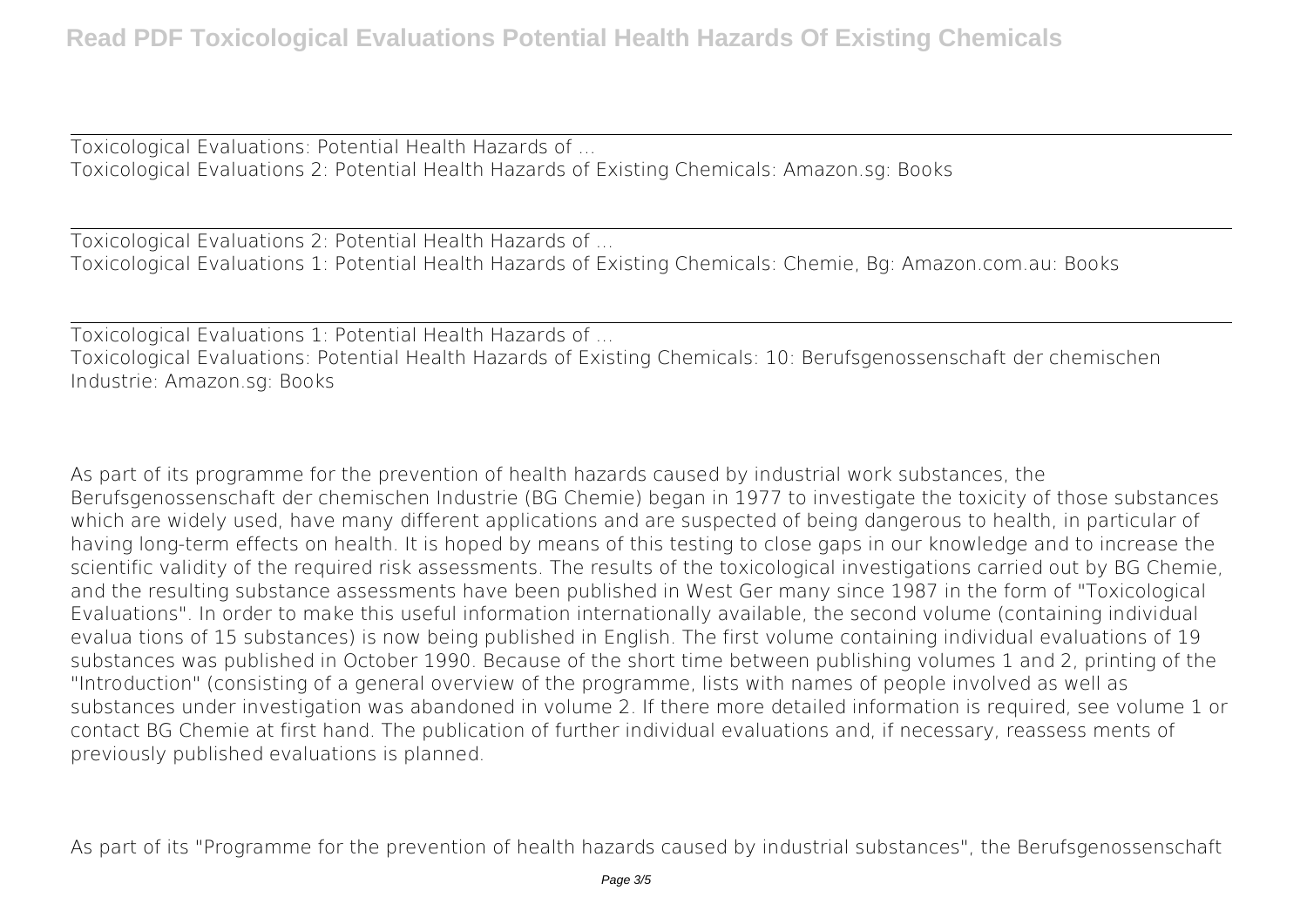Toxicological Evaluations: Potential Health Hazards of ... Toxicological Evaluations 2: Potential Health Hazards of Existing Chemicals: Amazon.sg: Books

Toxicological Evaluations 2: Potential Health Hazards of ... Toxicological Evaluations 1: Potential Health Hazards of Existing Chemicals: Chemie, Bg: Amazon.com.au: Books

Toxicological Evaluations 1: Potential Health Hazards of ...

Toxicological Evaluations: Potential Health Hazards of Existing Chemicals: 10: Berufsgenossenschaft der chemischen Industrie: Amazon.sg: Books

As part of its programme for the prevention of health hazards caused by industrial work substances, the Berufsgenossenschaft der chemischen Industrie (BG Chemie) began in 1977 to investigate the toxicity of those substances which are widely used, have many different applications and are suspected of being dangerous to health, in particular of having long-term effects on health. It is hoped by means of this testing to close gaps in our knowledge and to increase the scientific validity of the required risk assessments. The results of the toxicological investigations carried out by BG Chemie, and the resulting substance assessments have been published in West Ger many since 1987 in the form of "Toxicological Evaluations". In order to make this useful information internationally available, the second volume (containing individual evalua tions of 15 substances) is now being published in English. The first volume containing individual evaluations of 19 substances was published in October 1990. Because of the short time between publishing volumes 1 and 2, printing of the "Introduction" (consisting of a general overview of the programme, lists with names of people involved as well as substances under investigation was abandoned in volume 2. If there more detailed information is required, see volume 1 or contact BG Chemie at first hand. The publication of further individual evaluations and, if necessary, reassess ments of previously published evaluations is planned.

As part of its "Programme for the prevention of health hazards caused by industrial substances", the Berufsgenossenschaft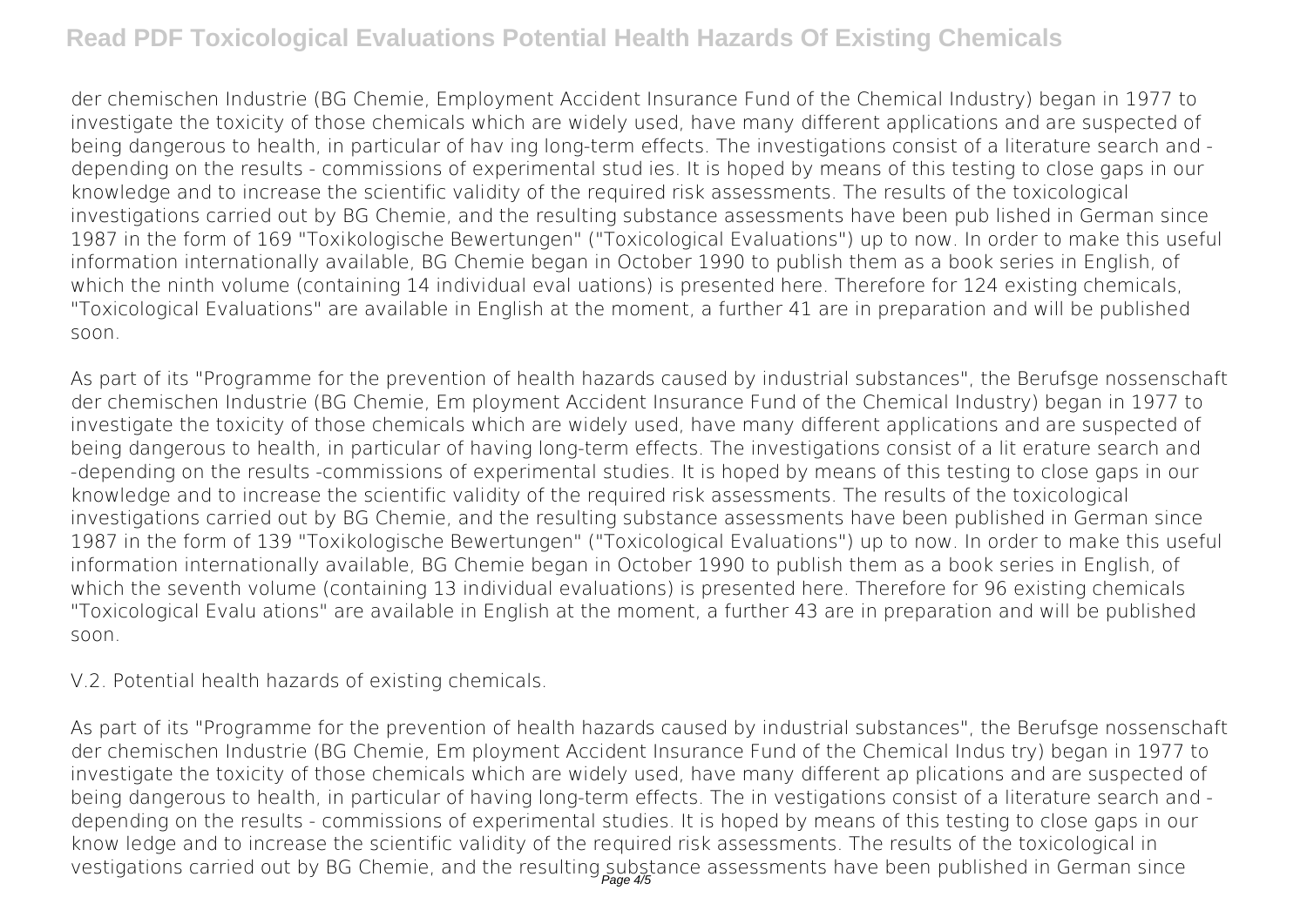## **Read PDF Toxicological Evaluations Potential Health Hazards Of Existing Chemicals**

der chemischen Industrie (BG Chemie, Employment Accident Insurance Fund of the Chemical Industry) began in 1977 to investigate the toxicity of those chemicals which are widely used, have many different applications and are suspected of being dangerous to health, in particular of hav ing long-term effects. The investigations consist of a literature search and depending on the results - commissions of experimental stud ies. It is hoped by means of this testing to close gaps in our knowledge and to increase the scientific validity of the required risk assessments. The results of the toxicological investigations carried out by BG Chemie, and the resulting substance assessments have been pub lished in German since 1987 in the form of 169 "Toxikologische Bewertungen" ("Toxicological Evaluations") up to now. In order to make this useful information internationally available, BG Chemie began in October 1990 to publish them as a book series in English, of which the ninth volume (containing 14 individual eval uations) is presented here. Therefore for 124 existing chemicals, "Toxicological Evaluations" are available in English at the moment, a further 41 are in preparation and will be published soon.

As part of its "Programme for the prevention of health hazards caused by industrial substances", the Berufsge nossenschaft der chemischen Industrie (BG Chemie, Em ployment Accident Insurance Fund of the Chemical Industry) began in 1977 to investigate the toxicity of those chemicals which are widely used, have many different applications and are suspected of being dangerous to health, in particular of having long-term effects. The investigations consist of a lit erature search and -depending on the results -commissions of experimental studies. It is hoped by means of this testing to close gaps in our knowledge and to increase the scientific validity of the required risk assessments. The results of the toxicological investigations carried out by BG Chemie, and the resulting substance assessments have been published in German since 1987 in the form of 139 "Toxikologische Bewertungen" ("Toxicological Evaluations") up to now. In order to make this useful information internationally available, BG Chemie began in October 1990 to publish them as a book series in English, of which the seventh volume (containing 13 individual evaluations) is presented here. Therefore for 96 existing chemicals "Toxicological Evalu ations" are available in English at the moment, a further 43 are in preparation and will be published soon.

## V.2. Potential health hazards of existing chemicals.

As part of its "Programme for the prevention of health hazards caused by industrial substances", the Berufsge nossenschaft der chemischen Industrie (BG Chemie, Em ployment Accident Insurance Fund of the Chemical Indus try) began in 1977 to investigate the toxicity of those chemicals which are widely used, have many different ap plications and are suspected of being dangerous to health, in particular of having long-term effects. The in vestigations consist of a literature search and depending on the results - commissions of experimental studies. It is hoped by means of this testing to close gaps in our know ledge and to increase the scientific validity of the required risk assessments. The results of the toxicological in vestigations carried out by BG Chemie, and the resulting substance assessments have been published in German since<br>Page 45